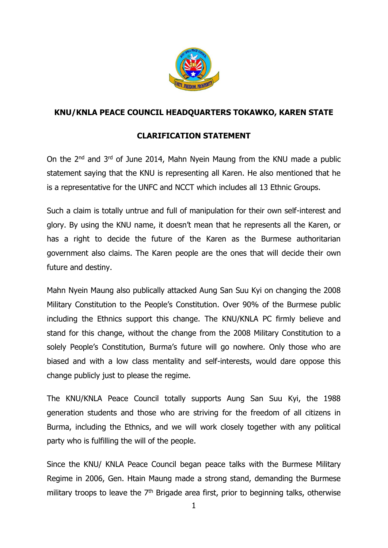

## **KNU/KNLA PEACE COUNCIL HEADQUARTERS TOKAWKO, KAREN STATE**

## **CLARIFICATION STATEMENT**

On the 2nd and 3rd of June 2014, Mahn Nyein Maung from the KNU made a public statement saying that the KNU is representing all Karen. He also mentioned that he is a representative for the UNFC and NCCT which includes all 13 Ethnic Groups.

Such a claim is totally untrue and full of manipulation for their own self-interest and glory. By using the KNU name, it doesn't mean that he represents all the Karen, or has a right to decide the future of the Karen as the Burmese authoritarian government also claims. The Karen people are the ones that will decide their own future and destiny.

Mahn Nyein Maung also publically attacked Aung San Suu Kyi on changing the 2008 Military Constitution to the People's Constitution. Over 90% of the Burmese public including the Ethnics support this change. The KNU/KNLA PC firmly believe and stand for this change, without the change from the 2008 Military Constitution to a solely People's Constitution, Burma's future will go nowhere. Only those who are biased and with a low class mentality and self-interests, would dare oppose this change publicly just to please the regime.

The KNU/KNLA Peace Council totally supports Aung San Suu Kyi, the 1988 generation students and those who are striving for the freedom of all citizens in Burma, including the Ethnics, and we will work closely together with any political party who is fulfilling the will of the people.

Since the KNU/ KNLA Peace Council began peace talks with the Burmese Military Regime in 2006, Gen. Htain Maung made a strong stand, demanding the Burmese military troops to leave the  $7<sup>th</sup>$  Brigade area first, prior to beginning talks, otherwise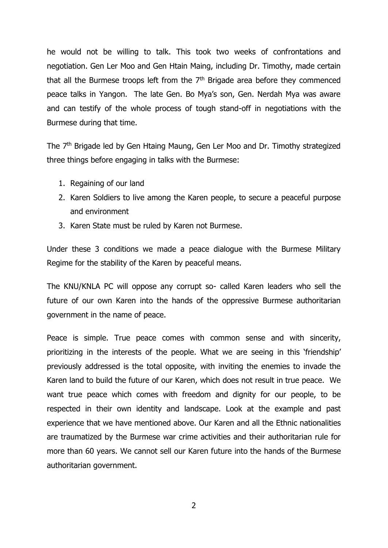he would not be willing to talk. This took two weeks of confrontations and negotiation. Gen Ler Moo and Gen Htain Maing, including Dr. Timothy, made certain that all the Burmese troops left from the  $7<sup>th</sup>$  Brigade area before they commenced peace talks in Yangon. The late Gen. Bo Mya's son, Gen. Nerdah Mya was aware and can testify of the whole process of tough stand-off in negotiations with the Burmese during that time.

The 7th Brigade led by Gen Htaing Maung, Gen Ler Moo and Dr. Timothy strategized three things before engaging in talks with the Burmese:

- 1. Regaining of our land
- 2. Karen Soldiers to live among the Karen people, to secure a peaceful purpose and environment
- 3. Karen State must be ruled by Karen not Burmese.

Under these 3 conditions we made a peace dialogue with the Burmese Military Regime for the stability of the Karen by peaceful means.

The KNU/KNLA PC will oppose any corrupt so- called Karen leaders who sell the future of our own Karen into the hands of the oppressive Burmese authoritarian government in the name of peace.

Peace is simple. True peace comes with common sense and with sincerity, prioritizing in the interests of the people. What we are seeing in this 'friendship' previously addressed is the total opposite, with inviting the enemies to invade the Karen land to build the future of our Karen, which does not result in true peace. We want true peace which comes with freedom and dignity for our people, to be respected in their own identity and landscape. Look at the example and past experience that we have mentioned above. Our Karen and all the Ethnic nationalities are traumatized by the Burmese war crime activities and their authoritarian rule for more than 60 years. We cannot sell our Karen future into the hands of the Burmese authoritarian government.

2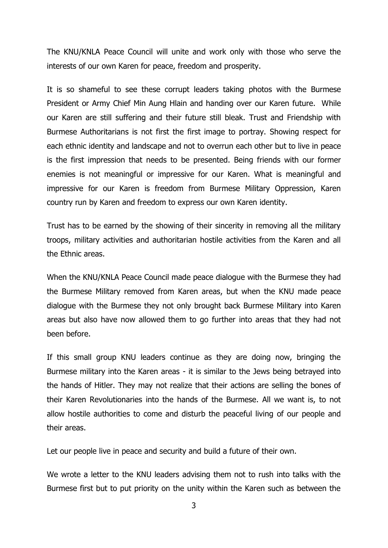The KNU/KNLA Peace Council will unite and work only with those who serve the interests of our own Karen for peace, freedom and prosperity.

It is so shameful to see these corrupt leaders taking photos with the Burmese President or Army Chief Min Aung Hlain and handing over our Karen future. While our Karen are still suffering and their future still bleak. Trust and Friendship with Burmese Authoritarians is not first the first image to portray. Showing respect for each ethnic identity and landscape and not to overrun each other but to live in peace is the first impression that needs to be presented. Being friends with our former enemies is not meaningful or impressive for our Karen. What is meaningful and impressive for our Karen is freedom from Burmese Military Oppression, Karen country run by Karen and freedom to express our own Karen identity.

Trust has to be earned by the showing of their sincerity in removing all the military troops, military activities and authoritarian hostile activities from the Karen and all the Ethnic areas.

When the KNU/KNLA Peace Council made peace dialogue with the Burmese they had the Burmese Military removed from Karen areas, but when the KNU made peace dialogue with the Burmese they not only brought back Burmese Military into Karen areas but also have now allowed them to go further into areas that they had not been before.

If this small group KNU leaders continue as they are doing now, bringing the Burmese military into the Karen areas - it is similar to the Jews being betrayed into the hands of Hitler. They may not realize that their actions are selling the bones of their Karen Revolutionaries into the hands of the Burmese. All we want is, to not allow hostile authorities to come and disturb the peaceful living of our people and their areas.

Let our people live in peace and security and build a future of their own.

We wrote a letter to the KNU leaders advising them not to rush into talks with the Burmese first but to put priority on the unity within the Karen such as between the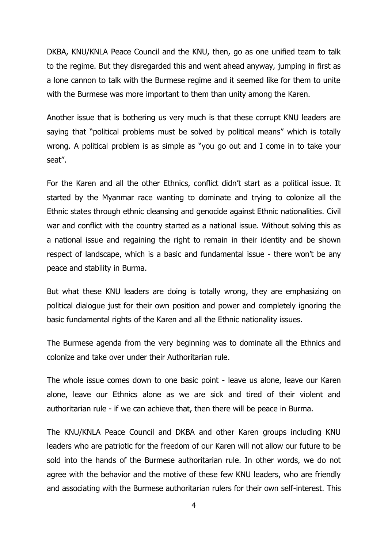DKBA, KNU/KNLA Peace Council and the KNU, then, go as one unified team to talk to the regime. But they disregarded this and went ahead anyway, jumping in first as a lone cannon to talk with the Burmese regime and it seemed like for them to unite with the Burmese was more important to them than unity among the Karen.

Another issue that is bothering us very much is that these corrupt KNU leaders are saying that "political problems must be solved by political means" which is totally wrong. A political problem is as simple as "you go out and I come in to take your seat".

For the Karen and all the other Ethnics, conflict didn't start as a political issue. It started by the Myanmar race wanting to dominate and trying to colonize all the Ethnic states through ethnic cleansing and genocide against Ethnic nationalities. Civil war and conflict with the country started as a national issue. Without solving this as a national issue and regaining the right to remain in their identity and be shown respect of landscape, which is a basic and fundamental issue - there won't be any peace and stability in Burma.

But what these KNU leaders are doing is totally wrong, they are emphasizing on political dialogue just for their own position and power and completely ignoring the basic fundamental rights of the Karen and all the Ethnic nationality issues.

The Burmese agenda from the very beginning was to dominate all the Ethnics and colonize and take over under their Authoritarian rule.

The whole issue comes down to one basic point - leave us alone, leave our Karen alone, leave our Ethnics alone as we are sick and tired of their violent and authoritarian rule - if we can achieve that, then there will be peace in Burma.

The KNU/KNLA Peace Council and DKBA and other Karen groups including KNU leaders who are patriotic for the freedom of our Karen will not allow our future to be sold into the hands of the Burmese authoritarian rule. In other words, we do not agree with the behavior and the motive of these few KNU leaders, who are friendly and associating with the Burmese authoritarian rulers for their own self-interest. This